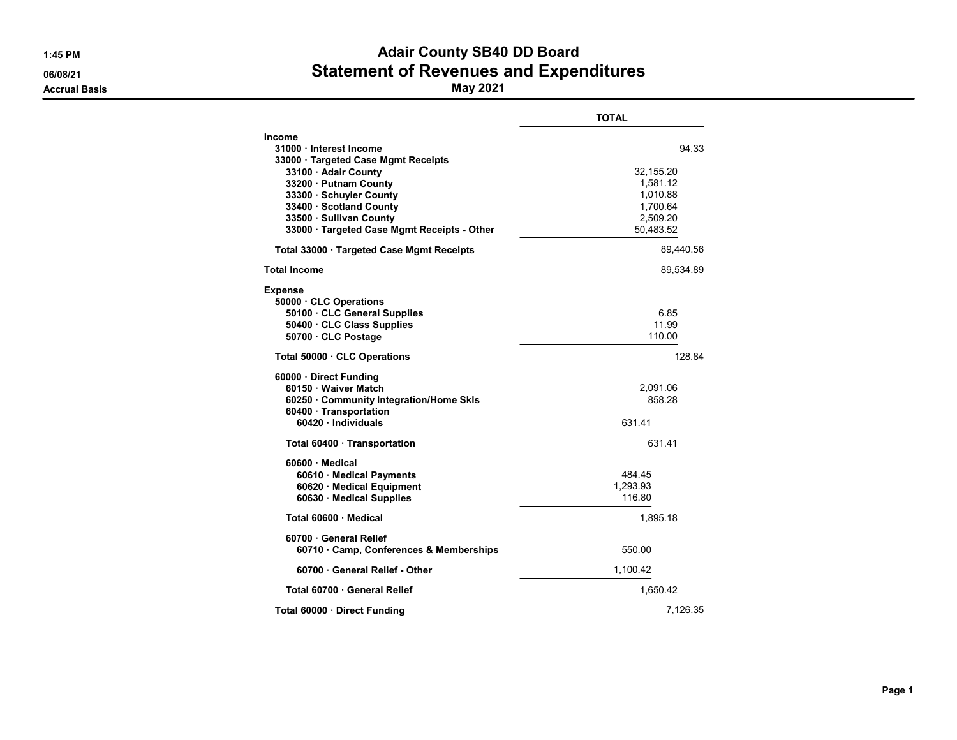|                                                                                                                                                                                                                                                              | <b>TOTAL</b>                                                                    |
|--------------------------------------------------------------------------------------------------------------------------------------------------------------------------------------------------------------------------------------------------------------|---------------------------------------------------------------------------------|
| <b>Income</b><br>31000 Interest Income<br>33000 · Targeted Case Mgmt Receipts<br>33100 · Adair County<br>33200 · Putnam County<br>33300 · Schuyler County<br>33400 Scotland County<br>33500 · Sullivan County<br>33000 · Targeted Case Mgmt Receipts - Other | 94.33<br>32,155.20<br>1,581.12<br>1,010.88<br>1,700.64<br>2,509.20<br>50,483.52 |
| Total 33000 Targeted Case Mgmt Receipts                                                                                                                                                                                                                      | 89,440.56                                                                       |
| <b>Total Income</b>                                                                                                                                                                                                                                          | 89,534.89                                                                       |
| <b>Expense</b><br>50000 CLC Operations<br>50100 · CLC General Supplies<br>50400 CLC Class Supplies<br>50700 CLC Postage                                                                                                                                      | 6.85<br>11.99<br>110.00                                                         |
| Total 50000 CLC Operations                                                                                                                                                                                                                                   | 128.84                                                                          |
| 60000 Direct Funding<br>60150 · Waiver Match<br>60250 · Community Integration/Home Skls<br>60400 Transportation<br>60420 · Individuals                                                                                                                       | 2,091.06<br>858 28<br>631.41                                                    |
| Total 60400 · Transportation                                                                                                                                                                                                                                 | 631.41                                                                          |
| 60600 Medical<br>60610 Medical Payments<br>60620 · Medical Equipment<br>60630 Medical Supplies                                                                                                                                                               | 484.45<br>1.293.93<br>116.80                                                    |
| Total 60600 Medical                                                                                                                                                                                                                                          | 1.895.18                                                                        |
| 60700 · General Relief<br>60710 Camp, Conferences & Memberships                                                                                                                                                                                              | 550.00                                                                          |
| 60700 General Relief - Other                                                                                                                                                                                                                                 | 1,100.42                                                                        |
| Total 60700 · General Relief                                                                                                                                                                                                                                 | 1,650.42                                                                        |
| Total 60000 · Direct Funding                                                                                                                                                                                                                                 | 7,126.35                                                                        |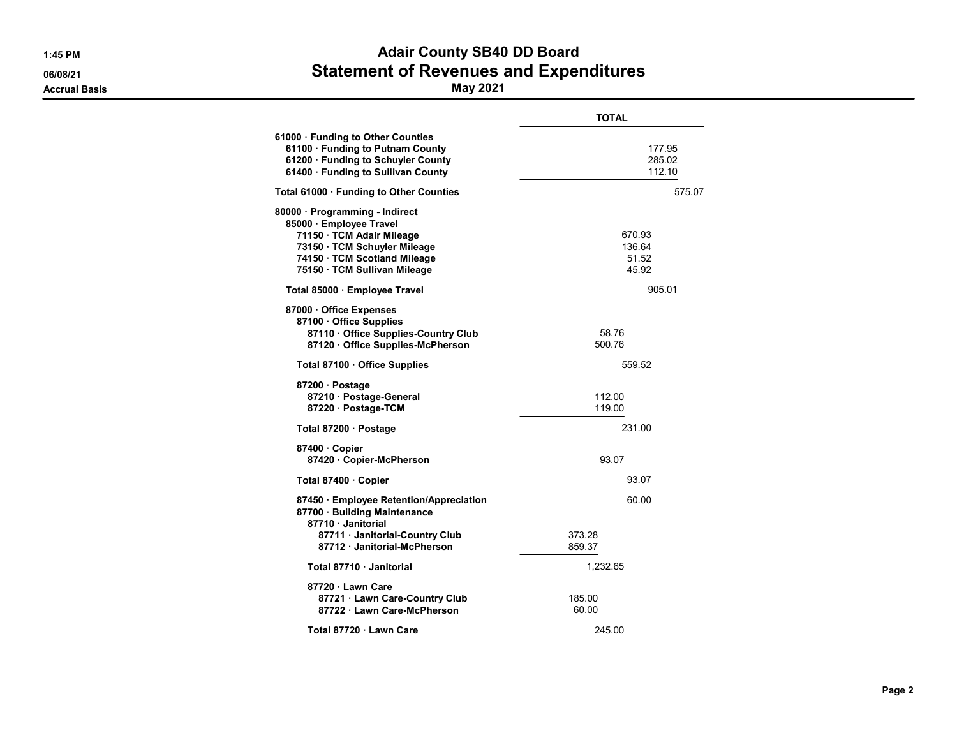|                                                                                                                                                                                        | <b>TOTAL</b>                       |
|----------------------------------------------------------------------------------------------------------------------------------------------------------------------------------------|------------------------------------|
| 61000 · Funding to Other Counties<br>61100 · Funding to Putnam County<br>61200 · Funding to Schuyler County<br>61400 · Funding to Sullivan County                                      | 177.95<br>285.02<br>112.10         |
| Total 61000 · Funding to Other Counties                                                                                                                                                | 575.07                             |
| 80000 · Programming - Indirect<br>85000 · Employee Travel<br>71150 · TCM Adair Mileage<br>73150 · TCM Schuyler Mileage<br>74150 · TCM Scotland Mileage<br>75150 · TCM Sullivan Mileage | 670.93<br>136.64<br>51.52<br>45.92 |
| Total 85000 · Employee Travel                                                                                                                                                          | 905.01                             |
| 87000 Office Expenses<br>87100 · Office Supplies<br>87110 · Office Supplies-Country Club<br>87120 Office Supplies-McPherson                                                            | 58.76<br>500.76                    |
| Total 87100 Office Supplies                                                                                                                                                            | 559.52                             |
| 87200 · Postage<br>87210 Postage-General<br>87220 · Postage-TCM                                                                                                                        | 112.00<br>119.00                   |
| Total 87200 · Postage                                                                                                                                                                  | 231.00                             |
| 87400 Copier<br>87420 · Copier-McPherson                                                                                                                                               | 93.07                              |
| Total 87400 · Copier                                                                                                                                                                   | 93.07                              |
| 87450 · Employee Retention/Appreciation<br>87700 · Building Maintenance<br>87710 Janitorial<br>87711 · Janitorial-Country Club<br>87712 Janitorial-McPherson                           | 60.00<br>373.28<br>859.37          |
| Total 87710 Janitorial                                                                                                                                                                 | 1,232.65                           |
| 87720 Lawn Care<br>87721 Lawn Care-Country Club<br>87722 · Lawn Care-McPherson                                                                                                         | 185.00<br>60.00                    |
| Total 87720 · Lawn Care                                                                                                                                                                | 245.00                             |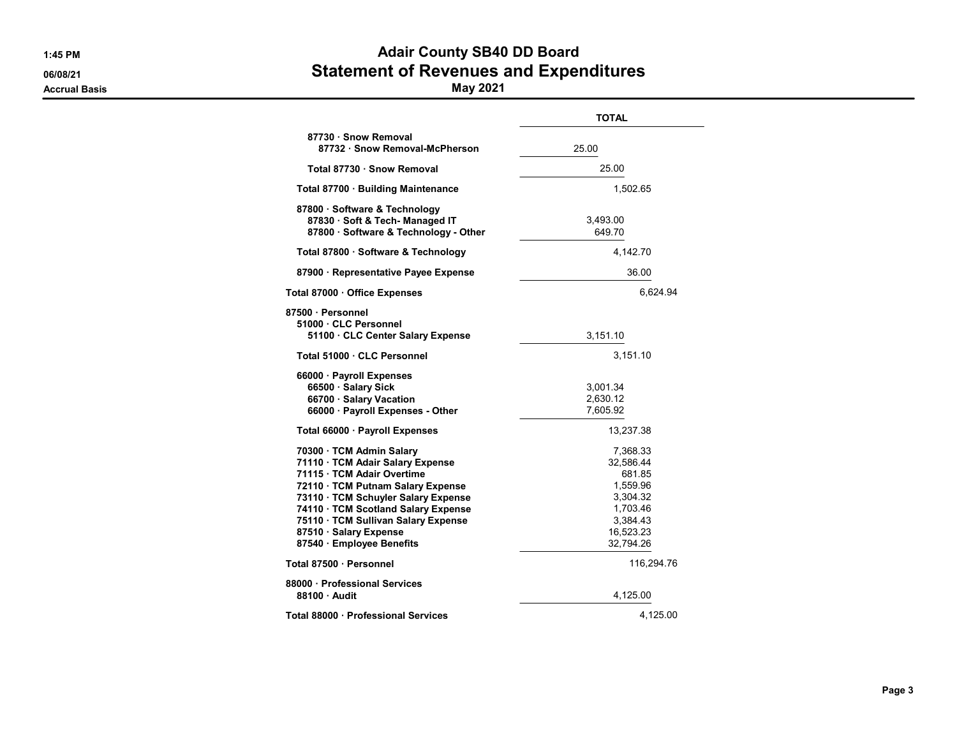|                                                                                                                                                                                                                                                                                                             | <b>TOTAL</b>                                                                                              |
|-------------------------------------------------------------------------------------------------------------------------------------------------------------------------------------------------------------------------------------------------------------------------------------------------------------|-----------------------------------------------------------------------------------------------------------|
| 87730 · Snow Removal<br>87732 · Snow Removal-McPherson                                                                                                                                                                                                                                                      | 25.00                                                                                                     |
| Total 87730 · Snow Removal                                                                                                                                                                                                                                                                                  | 25.00                                                                                                     |
| Total 87700 · Building Maintenance                                                                                                                                                                                                                                                                          | 1,502.65                                                                                                  |
| 87800 · Software & Technology<br>87830 · Soft & Tech- Managed IT<br>87800 · Software & Technology - Other                                                                                                                                                                                                   | 3,493.00<br>649.70                                                                                        |
| Total 87800 · Software & Technology                                                                                                                                                                                                                                                                         | 4,142.70                                                                                                  |
| 87900 · Representative Payee Expense                                                                                                                                                                                                                                                                        | 36.00                                                                                                     |
| Total 87000 · Office Expenses                                                                                                                                                                                                                                                                               | 6,624.94                                                                                                  |
| 87500 · Personnel<br>51000 CLC Personnel<br>51100 CLC Center Salary Expense                                                                                                                                                                                                                                 | 3,151.10                                                                                                  |
| Total 51000 · CLC Personnel                                                                                                                                                                                                                                                                                 | 3,151.10                                                                                                  |
| 66000 · Payroll Expenses<br>66500 · Salary Sick<br>66700 · Salary Vacation<br>66000 · Payroll Expenses - Other                                                                                                                                                                                              | 3,001.34<br>2,630.12<br>7,605.92                                                                          |
| Total 66000 · Payroll Expenses                                                                                                                                                                                                                                                                              | 13,237.38                                                                                                 |
| 70300 · TCM Admin Salary<br>71110 · TCM Adair Salary Expense<br>71115 · TCM Adair Overtime<br>72110 · TCM Putnam Salary Expense<br>73110 · TCM Schuyler Salary Expense<br>74110 · TCM Scotland Salary Expense<br>75110 · TCM Sullivan Salary Expense<br>87510 · Salary Expense<br>87540 · Employee Benefits | 7,368.33<br>32,586.44<br>681.85<br>1,559.96<br>3,304.32<br>1,703.46<br>3,384.43<br>16,523.23<br>32,794.26 |
| Total 87500 · Personnel                                                                                                                                                                                                                                                                                     | 116,294.76                                                                                                |
| 88000 · Professional Services<br>88100 Audit                                                                                                                                                                                                                                                                | 4,125.00                                                                                                  |
| Total 88000 · Professional Services                                                                                                                                                                                                                                                                         | 4,125.00                                                                                                  |